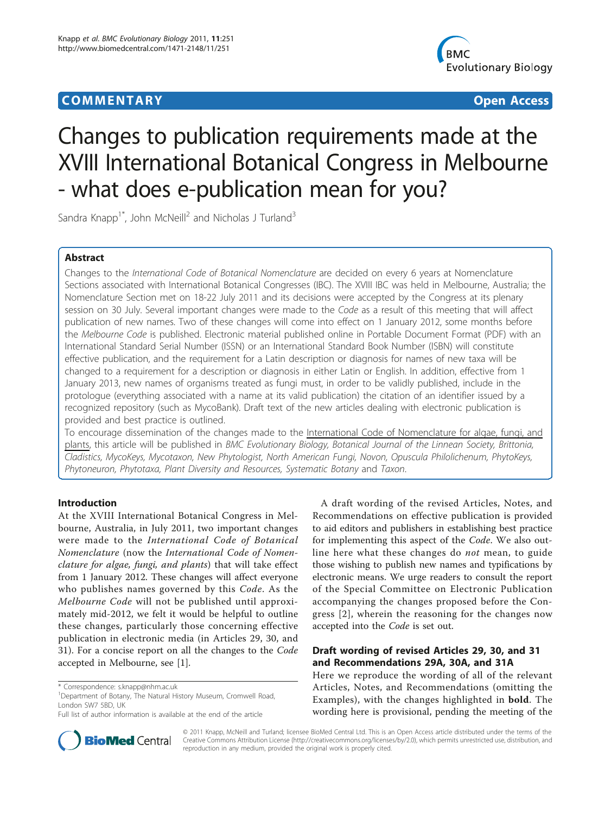## **COMMENTARY COMMENTARY Open Access**



# Changes to publication requirements made at the XVIII International Botanical Congress in Melbourne - what does e-publication mean for you?

Sandra Knapp<sup>1\*</sup>, John McNeill<sup>2</sup> and Nicholas J Turland<sup>3</sup>

## Abstract

Changes to the International Code of Botanical Nomenclature are decided on every 6 years at Nomenclature Sections associated with International Botanical Congresses (IBC). The XVIII IBC was held in Melbourne, Australia; the Nomenclature Section met on 18-22 July 2011 and its decisions were accepted by the Congress at its plenary session on 30 July. Several important changes were made to the Code as a result of this meeting that will affect publication of new names. Two of these changes will come into effect on 1 January 2012, some months before the Melbourne Code is published. Electronic material published online in Portable Document Format (PDF) with an International Standard Serial Number (ISSN) or an International Standard Book Number (ISBN) will constitute effective publication, and the requirement for a Latin description or diagnosis for names of new taxa will be changed to a requirement for a description or diagnosis in either Latin or English. In addition, effective from 1 January 2013, new names of organisms treated as fungi must, in order to be validly published, include in the protologue (everything associated with a name at its valid publication) the citation of an identifier issued by a recognized repository (such as MycoBank). Draft text of the new articles dealing with electronic publication is provided and best practice is outlined.

To encourage dissemination of the changes made to the International Code of Nomenclature for algae, fungi, and plants, this article will be published in BMC Evolutionary Biology, Botanical Journal of the Linnean Society, Brittonia, Cladistics, MycoKeys, Mycotaxon, New Phytologist, North American Fungi, Novon, Opuscula Philolichenum, PhytoKeys, Phytoneuron, Phytotaxa, Plant Diversity and Resources, Systematic Botany and Taxon.

#### Introduction

At the XVIII International Botanical Congress in Melbourne, Australia, in July 2011, two important changes were made to the International Code of Botanical Nomenclature (now the International Code of Nomenclature for algae, fungi, and plants) that will take effect from 1 January 2012. These changes will affect everyone who publishes names governed by this Code. As the Melbourne Code will not be published until approximately mid-2012, we felt it would be helpful to outline these changes, particularly those concerning effective publication in electronic media (in Articles 29, 30, and 31). For a concise report on all the changes to the Code accepted in Melbourne, see [[1\]](#page-3-0).



## Draft wording of revised Articles 29, 30, and 31 and Recommendations 29A, 30A, and 31A

Here we reproduce the wording of all of the relevant Articles, Notes, and Recommendations (omitting the Examples), with the changes highlighted in bold. The wording here is provisional, pending the meeting of the



© 2011 Knapp, McNeill and Turland; licensee BioMed Central Ltd. This is an Open Access article distributed under the terms of the Creative Commons Attribution License (<http://creativecommons.org/licenses/by/2.0>), which permits unrestricted use, distribution, and reproduction in any medium, provided the original work is properly cited.

<sup>\*</sup> Correspondence: [s.knapp@nhm.ac.uk](mailto:s.knapp@nhm.ac.uk)

<sup>&</sup>lt;sup>1</sup>Department of Botany, The Natural History Museum, Cromwell Road, London SW7 5BD, UK

Full list of author information is available at the end of the article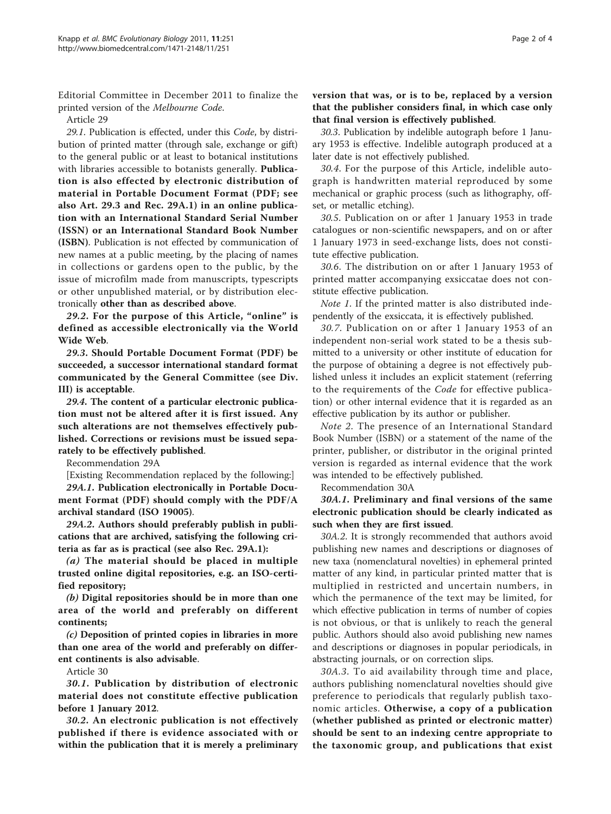Editorial Committee in December 2011 to finalize the printed version of the Melbourne Code.

Article 29

29.1. Publication is effected, under this Code, by distribution of printed matter (through sale, exchange or gift) to the general public or at least to botanical institutions with libraries accessible to botanists generally. Publication is also effected by electronic distribution of material in Portable Document Format (PDF; see also Art. 29.3 and Rec. 29A.1) in an online publication with an International Standard Serial Number (ISSN) or an International Standard Book Number (ISBN). Publication is not effected by communication of new names at a public meeting, by the placing of names in collections or gardens open to the public, by the issue of microfilm made from manuscripts, typescripts or other unpublished material, or by distribution electronically other than as described above.

29.2. For the purpose of this Article, "online" is defined as accessible electronically via the World Wide Web.

29.3. Should Portable Document Format (PDF) be succeeded, a successor international standard format communicated by the General Committee (see Div. III) is acceptable.

29.4. The content of a particular electronic publication must not be altered after it is first issued. Any such alterations are not themselves effectively published. Corrections or revisions must be issued separately to be effectively published.

Recommendation 29A

[Existing Recommendation replaced by the following:] 29A.1. Publication electronically in Portable Document Format (PDF) should comply with the PDF/A

archival standard (ISO 19005). 29A.2. Authors should preferably publish in publications that are archived, satisfying the following criteria as far as is practical (see also Rec. 29A.1):

(a) The material should be placed in multiple trusted online digital repositories, e.g. an ISO-certified repository;

(b) Digital repositories should be in more than one area of the world and preferably on different continents;

(c) Deposition of printed copies in libraries in more than one area of the world and preferably on different continents is also advisable.

Article 30

30.1. Publication by distribution of electronic material does not constitute effective publication before 1 January 2012.

30.2. An electronic publication is not effectively published if there is evidence associated with or within the publication that it is merely a preliminary version that was, or is to be, replaced by a version that the publisher considers final, in which case only that final version is effectively published.

30.3. Publication by indelible autograph before 1 January 1953 is effective. Indelible autograph produced at a later date is not effectively published.

30.4. For the purpose of this Article, indelible autograph is handwritten material reproduced by some mechanical or graphic process (such as lithography, offset, or metallic etching).

30.5. Publication on or after 1 January 1953 in trade catalogues or non-scientific newspapers, and on or after 1 January 1973 in seed-exchange lists, does not constitute effective publication.

30.6. The distribution on or after 1 January 1953 of printed matter accompanying exsiccatae does not constitute effective publication.

Note 1. If the printed matter is also distributed independently of the exsiccata, it is effectively published.

30.7. Publication on or after 1 January 1953 of an independent non-serial work stated to be a thesis submitted to a university or other institute of education for the purpose of obtaining a degree is not effectively published unless it includes an explicit statement (referring to the requirements of the Code for effective publication) or other internal evidence that it is regarded as an effective publication by its author or publisher.

Note 2. The presence of an International Standard Book Number (ISBN) or a statement of the name of the printer, publisher, or distributor in the original printed version is regarded as internal evidence that the work was intended to be effectively published.

Recommendation 30A

30A.1. Preliminary and final versions of the same electronic publication should be clearly indicated as such when they are first issued.

30A.2. It is strongly recommended that authors avoid publishing new names and descriptions or diagnoses of new taxa (nomenclatural novelties) in ephemeral printed matter of any kind, in particular printed matter that is multiplied in restricted and uncertain numbers, in which the permanence of the text may be limited, for which effective publication in terms of number of copies is not obvious, or that is unlikely to reach the general public. Authors should also avoid publishing new names and descriptions or diagnoses in popular periodicals, in abstracting journals, or on correction slips.

30A.3. To aid availability through time and place, authors publishing nomenclatural novelties should give preference to periodicals that regularly publish taxonomic articles. Otherwise, a copy of a publication (whether published as printed or electronic matter) should be sent to an indexing centre appropriate to the taxonomic group, and publications that exist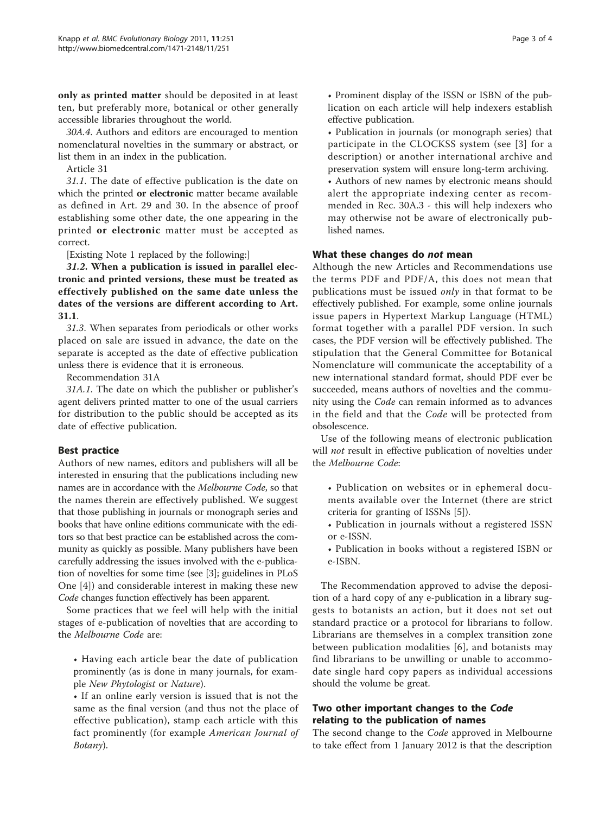only as printed matter should be deposited in at least ten, but preferably more, botanical or other generally accessible libraries throughout the world.

30A.4. Authors and editors are encouraged to mention nomenclatural novelties in the summary or abstract, or list them in an index in the publication.

Article 31

31.1. The date of effective publication is the date on which the printed or electronic matter became available as defined in Art. 29 and 30. In the absence of proof establishing some other date, the one appearing in the printed or electronic matter must be accepted as correct.

[Existing Note 1 replaced by the following:]

31.2. When a publication is issued in parallel electronic and printed versions, these must be treated as effectively published on the same date unless the dates of the versions are different according to Art. 31.1.

31.3. When separates from periodicals or other works placed on sale are issued in advance, the date on the separate is accepted as the date of effective publication unless there is evidence that it is erroneous.

Recommendation 31A

31A.1. The date on which the publisher or publisher's agent delivers printed matter to one of the usual carriers for distribution to the public should be accepted as its date of effective publication.

## Best practice

Authors of new names, editors and publishers will all be interested in ensuring that the publications including new names are in accordance with the Melbourne Code, so that the names therein are effectively published. We suggest that those publishing in journals or monograph series and books that have online editions communicate with the editors so that best practice can be established across the community as quickly as possible. Many publishers have been carefully addressing the issues involved with the e-publication of novelties for some time (see [[3\]](#page-3-0); guidelines in PLoS One [[4\]](#page-3-0)) and considerable interest in making these new Code changes function effectively has been apparent.

Some practices that we feel will help with the initial stages of e-publication of novelties that are according to the Melbourne Code are:

• Having each article bear the date of publication prominently (as is done in many journals, for example New Phytologist or Nature).

• If an online early version is issued that is not the same as the final version (and thus not the place of effective publication), stamp each article with this fact prominently (for example American Journal of Botany).

• Prominent display of the ISSN or ISBN of the publication on each article will help indexers establish effective publication.

• Publication in journals (or monograph series) that participate in the CLOCKSS system (see [[3\]](#page-3-0) for a description) or another international archive and preservation system will ensure long-term archiving.

• Authors of new names by electronic means should alert the appropriate indexing center as recommended in Rec. 30A.3 - this will help indexers who may otherwise not be aware of electronically published names.

### What these changes do not mean

Although the new Articles and Recommendations use the terms PDF and PDF/A, this does not mean that publications must be issued *only* in that format to be effectively published. For example, some online journals issue papers in Hypertext Markup Language (HTML) format together with a parallel PDF version. In such cases, the PDF version will be effectively published. The stipulation that the General Committee for Botanical Nomenclature will communicate the acceptability of a new international standard format, should PDF ever be succeeded, means authors of novelties and the community using the Code can remain informed as to advances in the field and that the Code will be protected from obsolescence.

Use of the following means of electronic publication will not result in effective publication of novelties under the Melbourne Code:

- Publication on websites or in ephemeral documents available over the Internet (there are strict criteria for granting of ISSNs [[5](#page-3-0)]).
- Publication in journals without a registered ISSN or e-ISSN.
- Publication in books without a registered ISBN or e-ISBN.

The Recommendation approved to advise the deposition of a hard copy of any e-publication in a library suggests to botanists an action, but it does not set out standard practice or a protocol for librarians to follow. Librarians are themselves in a complex transition zone between publication modalities [[6\]](#page-3-0), and botanists may find librarians to be unwilling or unable to accommodate single hard copy papers as individual accessions should the volume be great.

## Two other important changes to the Code relating to the publication of names

The second change to the Code approved in Melbourne to take effect from 1 January 2012 is that the description